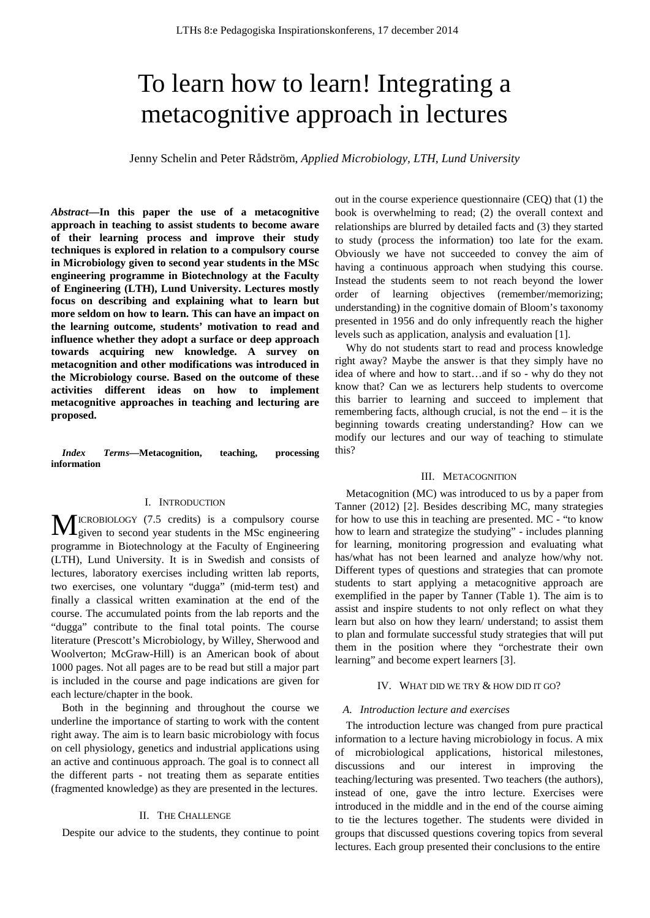# To learn how to learn! Integrating a metacognitive approach in lectures

Jenny Schelin and Peter Rådström, *Applied Microbiology, LTH, Lund University*

*Abstract***—In this paper the use of a metacognitive approach in teaching to assist students to become aware of their learning process and improve their study techniques is explored in relation to a compulsory course in Microbiology given to second year students in the MSc engineering programme in Biotechnology at the Faculty of Engineering (LTH), Lund University. Lectures mostly focus on describing and explaining what to learn but more seldom on how to learn. This can have an impact on the learning outcome, students' motivation to read and influence whether they adopt a surface or deep approach towards acquiring new knowledge. A survey on metacognition and other modifications was introduced in the Microbiology course. Based on the outcome of these activities different ideas on how to implement metacognitive approaches in teaching and lecturing are proposed.**

*Index Terms***—Metacognition, teaching, processing information**

#### I. INTRODUCTION

ICROBIOLOGY (7.5 credits) is a compulsory course **MEXA** ICROBIOLOGY (7.5 credits) is a compulsory course given to second year students in the MSc engineering programme in Biotechnology at the Faculty of Engineering (LTH), Lund University. It is in Swedish and consists of lectures, laboratory exercises including written lab reports, two exercises, one voluntary "dugga" (mid-term test) and finally a classical written examination at the end of the course. The accumulated points from the lab reports and the "dugga" contribute to the final total points. The course literature (Prescott's Microbiology, by Willey, Sherwood and Woolverton; McGraw-Hill) is an American book of about 1000 pages. Not all pages are to be read but still a major part is included in the course and page indications are given for each lecture/chapter in the book.

Both in the beginning and throughout the course we underline the importance of starting to work with the content right away. The aim is to learn basic microbiology with focus on cell physiology, genetics and industrial applications using an active and continuous approach. The goal is to connect all the different parts - not treating them as separate entities (fragmented knowledge) as they are presented in the lectures.

#### II. THE CHALLENGE

Despite our advice to the students, they continue to point

out in the course experience questionnaire (CEQ) that (1) the book is overwhelming to read; (2) the overall context and relationships are blurred by detailed facts and (3) they started to study (process the information) too late for the exam. Obviously we have not succeeded to convey the aim of having a continuous approach when studying this course. Instead the students seem to not reach beyond the lower order of learning objectives (remember/memorizing; understanding) in the cognitive domain of Bloom's taxonomy presented in 1956 and do only infrequently reach the higher levels such as application, analysis and evaluation [1].

Why do not students start to read and process knowledge right away? Maybe the answer is that they simply have no idea of where and how to start…and if so - why do they not know that? Can we as lecturers help students to overcome this barrier to learning and succeed to implement that remembering facts, although crucial, is not the end – it is the beginning towards creating understanding? How can we modify our lectures and our way of teaching to stimulate this?

#### III. METACOGNITION

Metacognition (MC) was introduced to us by a paper from Tanner (2012) [2]. Besides describing MC, many strategies for how to use this in teaching are presented. MC - "to know how to learn and strategize the studying" - includes planning for learning, monitoring progression and evaluating what has/what has not been learned and analyze how/why not. Different types of questions and strategies that can promote students to start applying a metacognitive approach are exemplified in the paper by Tanner (Table 1). The aim is to assist and inspire students to not only reflect on what they learn but also on how they learn/ understand; to assist them to plan and formulate successful study strategies that will put them in the position where they "orchestrate their own learning" and become expert learners [3].

#### IV. WHAT DID WE TRY & HOW DID IT GO?

#### *A. Introduction lecture and exercises*

The introduction lecture was changed from pure practical information to a lecture having microbiology in focus. A mix of microbiological applications, historical milestones, discussions and our interest in improving the teaching/lecturing was presented. Two teachers (the authors), instead of one, gave the intro lecture. Exercises were introduced in the middle and in the end of the course aiming to tie the lectures together. The students were divided in groups that discussed questions covering topics from several lectures. Each group presented their conclusions to the entire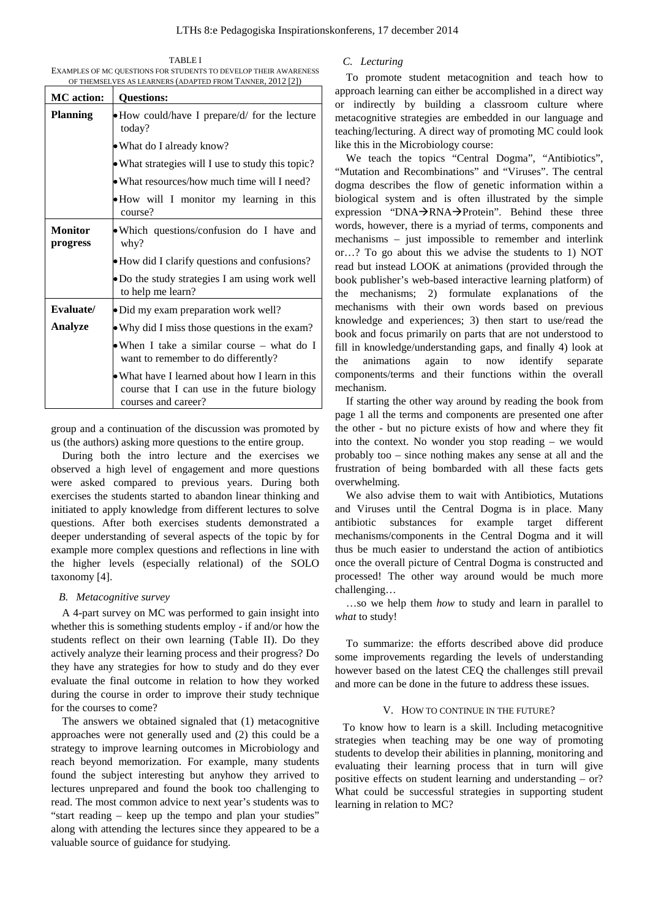TABLE I EXAMPLES OF MC QUESTIONS FOR STUDENTS TO DEVELOP THEIR AWARENESS OF THEMSELVES AS LEARNERS (ADAPTED FROM TANNER, 2012 [2])

| <b>MC</b> action:          | <b>Questions:</b>                                                                                                     |
|----------------------------|-----------------------------------------------------------------------------------------------------------------------|
| <b>Planning</b>            | • How could/have I prepare/d/ for the lecture<br>today?                                                               |
|                            | • What do I already know?                                                                                             |
|                            | • What strategies will I use to study this topic?                                                                     |
|                            | • What resources/how much time will I need?                                                                           |
|                            | • How will I monitor my learning in this<br>course?                                                                   |
| <b>Monitor</b><br>progress | • Which questions/confusion do I have and<br>why?                                                                     |
|                            | • How did I clarify questions and confusions?                                                                         |
|                            | • Do the study strategies I am using work well<br>to help me learn?                                                   |
| Evaluate/                  | · Did my exam preparation work well?                                                                                  |
| Analyze                    | • Why did I miss those questions in the exam?                                                                         |
|                            | • When I take a similar course $-$ what do I<br>want to remember to do differently?                                   |
|                            | • What have I learned about how I learn in this<br>course that I can use in the future biology<br>courses and career? |

group and a continuation of the discussion was promoted by us (the authors) asking more questions to the entire group.

During both the intro lecture and the exercises we observed a high level of engagement and more questions were asked compared to previous years. During both exercises the students started to abandon linear thinking and initiated to apply knowledge from different lectures to solve questions. After both exercises students demonstrated a deeper understanding of several aspects of the topic by for example more complex questions and reflections in line with the higher levels (especially relational) of the SOLO taxonomy [4].

#### *B. Metacognitive survey*

A 4-part survey on MC was performed to gain insight into whether this is something students employ - if and/or how the students reflect on their own learning (Table II). Do they actively analyze their learning process and their progress? Do they have any strategies for how to study and do they ever evaluate the final outcome in relation to how they worked during the course in order to improve their study technique for the courses to come?

The answers we obtained signaled that (1) metacognitive approaches were not generally used and (2) this could be a strategy to improve learning outcomes in Microbiology and reach beyond memorization. For example, many students found the subject interesting but anyhow they arrived to lectures unprepared and found the book too challenging to read. The most common advice to next year's students was to "start reading – keep up the tempo and plan your studies" along with attending the lectures since they appeared to be a valuable source of guidance for studying.

### *C. Lecturing*

To promote student metacognition and teach how to approach learning can either be accomplished in a direct way or indirectly by building a classroom culture where metacognitive strategies are embedded in our language and teaching/lecturing. A direct way of promoting MC could look like this in the Microbiology course:

We teach the topics "Central Dogma", "Antibiotics", "Mutation and Recombinations" and "Viruses". The central dogma describes the flow of genetic information within a biological system and is often illustrated by the simple expression "DNA $\rightarrow$ RNA $\rightarrow$ Protein". Behind these three words, however, there is a myriad of terms, components and mechanisms – just impossible to remember and interlink or…? To go about this we advise the students to 1) NOT read but instead LOOK at animations (provided through the book publisher's web-based interactive learning platform) of the mechanisms; 2) formulate explanations of the mechanisms with their own words based on previous knowledge and experiences; 3) then start to use/read the book and focus primarily on parts that are not understood to fill in knowledge/understanding gaps, and finally 4) look at the animations again to now identify separate components/terms and their functions within the overall mechanism.

If starting the other way around by reading the book from page 1 all the terms and components are presented one after the other - but no picture exists of how and where they fit into the context. No wonder you stop reading – we would probably too – since nothing makes any sense at all and the frustration of being bombarded with all these facts gets overwhelming.

We also advise them to wait with Antibiotics, Mutations and Viruses until the Central Dogma is in place. Many antibiotic substances for example target different mechanisms/components in the Central Dogma and it will thus be much easier to understand the action of antibiotics once the overall picture of Central Dogma is constructed and processed! The other way around would be much more challenging…

…so we help them *how* to study and learn in parallel to *what* to study!

To summarize: the efforts described above did produce some improvements regarding the levels of understanding however based on the latest CEQ the challenges still prevail and more can be done in the future to address these issues.

#### V. HOW TO CONTINUE IN THE FUTURE?

To know how to learn is a skill. Including metacognitive strategies when teaching may be one way of promoting students to develop their abilities in planning, monitoring and evaluating their learning process that in turn will give positive effects on student learning and understanding – or? What could be successful strategies in supporting student learning in relation to MC?